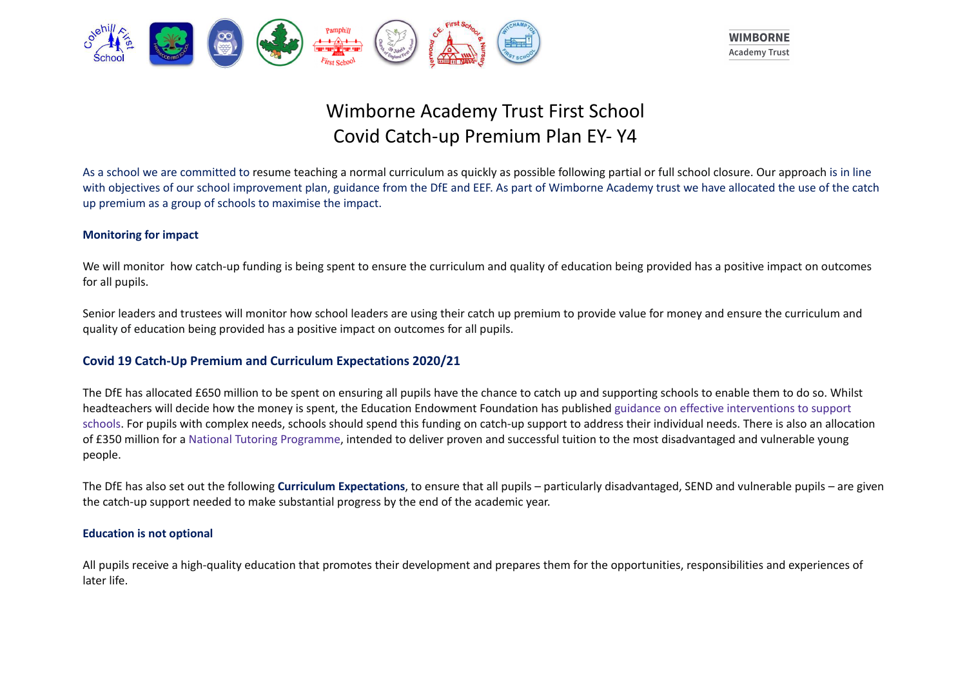



# Wimborne Academy Trust First School Covid Catch-up Premium Plan EY- Y4

As a school we are committed to resume teaching a normal curriculum as quickly as possible following partial or full school closure. Our approach is in line with objectives of our school improvement plan, guidance from the DfE and EEF. As part of Wimborne Academy trust we have allocated the use of the catch up premium as a group of schools to maximise the impact.

### **Monitoring for impact**

We will monitor how catch-up funding is being spent to ensure the curriculum and quality of education being provided has a positive impact on outcomes for all pupils.

Senior leaders and trustees will monitor how school leaders are using their catch up premium to provide value for money and ensure the curriculum and quality of education being provided has a positive impact on outcomes for all pupils.

# **Covid 19 Catch-Up Premium and Curriculum Expectations 2020/21**

The DfE has allocated £650 million to be spent on ensuring all pupils have the chance to catch up and supporting schools to enable them to do so. Whilst headteachers will decide how the money is spent, the Education Endowment Foundation has published guidance on effective interventions to support schools. For pupils with complex needs, schools should spend this funding on catch-up support to address their individual needs. There is also an allocation of £350 million for a National Tutoring Programme, intended to deliver proven and successful tuition to the most disadvantaged and vulnerable young people.

The DfE has also set out the following **Curriculum Expectations**, to ensure that all pupils – particularly disadvantaged, SEND and vulnerable pupils – are given the catch-up support needed to make substantial progress by the end of the academic year.

#### **Education is not optional**

All pupils receive a high-quality education that promotes their development and prepares them for the opportunities, responsibilities and experiences of later life.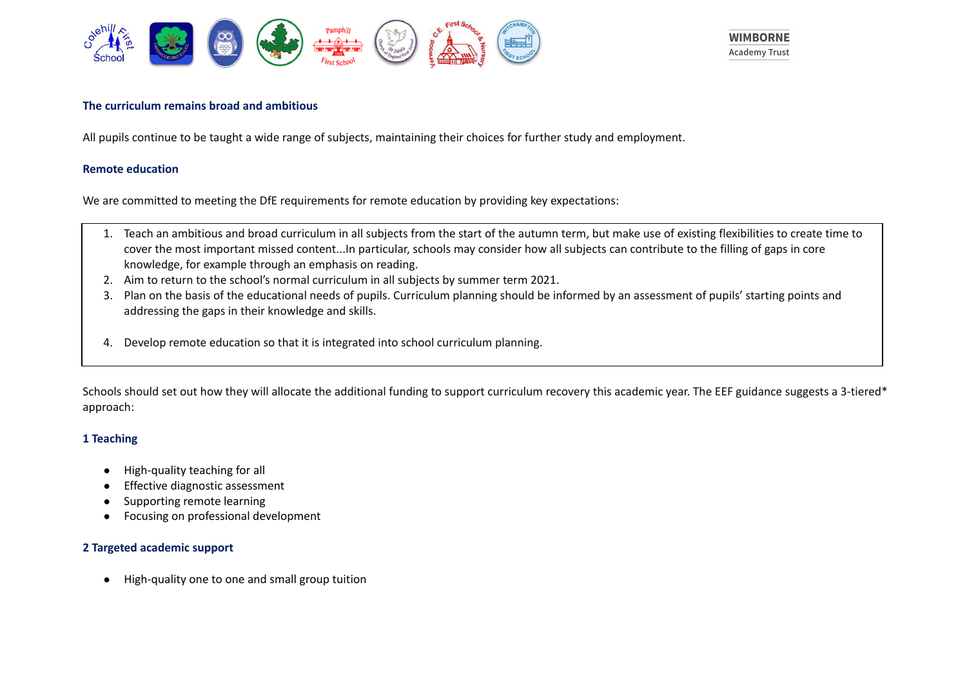



#### **The curriculum remains broad and ambitious**

All pupils continue to be taught a wide range of subjects, maintaining their choices for further study and employment.

#### **Remote education**

We are committed to meeting the DfE requirements for remote education by providing key expectations:

- 1. Teach an ambitious and broad curriculum in all subjects from the start of the autumn term, but make use of existing flexibilities to create time to cover the most important missed content...In particular, schools may consider how all subjects can contribute to the filling of gaps in core knowledge, for example through an emphasis on reading.
- 2. Aim to return to the school's normal curriculum in all subjects by summer term 2021.
- 3. Plan on the basis of the educational needs of pupils. Curriculum planning should be informed by an assessment of pupils' starting points and addressing the gaps in their knowledge and skills.
- 4. Develop remote education so that it is integrated into school curriculum planning.

Schools should set out how they will allocate the additional funding to support curriculum recovery this academic year. The EEF guidance suggests a 3-tiered\* approach:

# **1 Teaching**

- High-quality teaching for all
- **Effective diagnostic assessment**
- Supporting remote learning
- Focusing on professional development

# **2 Targeted academic support**

● High-quality one to one and small group tuition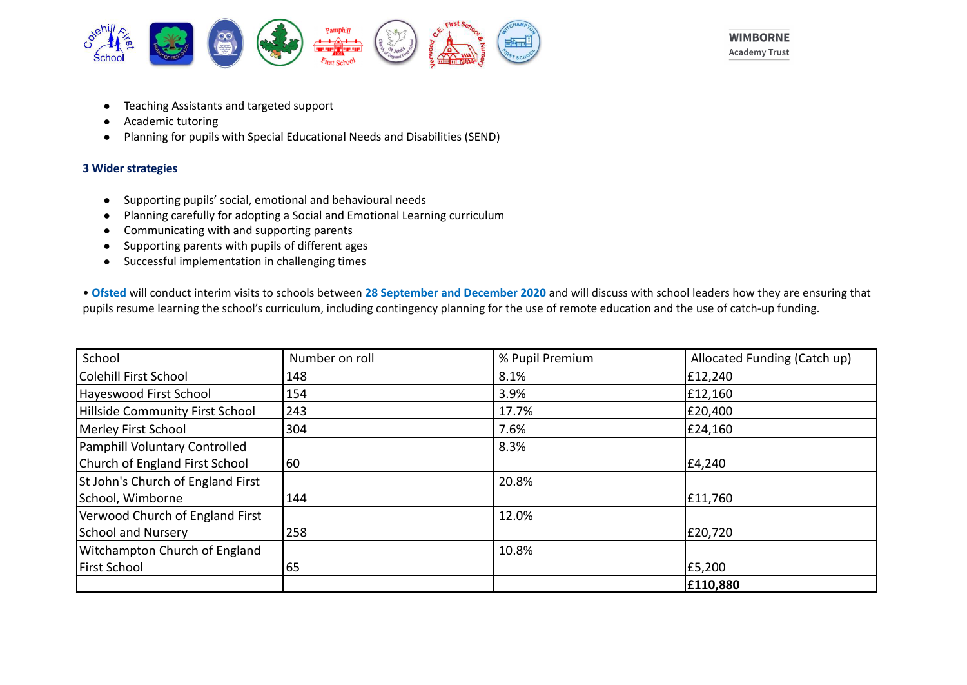



- Teaching Assistants and targeted support
- Academic tutoring
- Planning for pupils with Special Educational Needs and Disabilities (SEND)

# **3 Wider strategies**

- Supporting pupils' social, emotional and behavioural needs
- Planning carefully for adopting a Social and Emotional Learning curriculum
- Communicating with and supporting parents
- Supporting parents with pupils of different ages
- Successful implementation in challenging times

• **Ofsted** will conduct interim visits to schools between **28 September and December 2020** and will discuss with school leaders how they are ensuring that pupils resume learning the school's curriculum, including contingency planning for the use of remote education and the use of catch-up funding.

| School                            | Number on roll | % Pupil Premium | Allocated Funding (Catch up) |
|-----------------------------------|----------------|-----------------|------------------------------|
| Colehill First School             | 148            | 8.1%            | £12,240                      |
| Hayeswood First School            | 154            | 3.9%            | E12,160                      |
| Hillside Community First School   | 243            | 17.7%           | £20,400                      |
| Merley First School               | 304            | 7.6%            | £24,160                      |
| Pamphill Voluntary Controlled     |                | 8.3%            |                              |
| Church of England First School    | 60             |                 | £4,240                       |
| St John's Church of England First |                | 20.8%           |                              |
| School, Wimborne                  | 144            |                 | £11,760                      |
| Verwood Church of England First   |                | 12.0%           |                              |
| School and Nursery                | 258            |                 | £20,720                      |
| Witchampton Church of England     |                | 10.8%           |                              |
| <b>First School</b>               | 65             |                 | E5,200                       |
|                                   |                |                 | £110,880                     |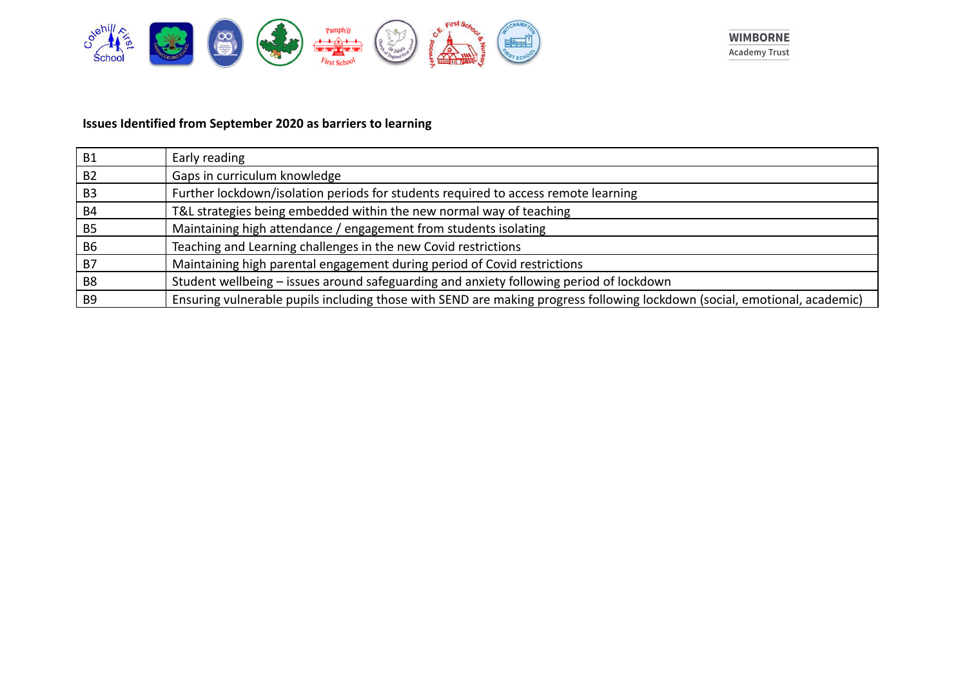



# **Issues Identified from September 2020 as barriers to learning**

| <b>B1</b>      | Early reading                                                                                                             |
|----------------|---------------------------------------------------------------------------------------------------------------------------|
| <b>B2</b>      | Gaps in curriculum knowledge                                                                                              |
| B <sub>3</sub> | Further lockdown/isolation periods for students required to access remote learning                                        |
| <b>B4</b>      | T&L strategies being embedded within the new normal way of teaching                                                       |
| <b>B5</b>      | Maintaining high attendance / engagement from students isolating                                                          |
| B <sub>6</sub> | Teaching and Learning challenges in the new Covid restrictions                                                            |
| B7             | Maintaining high parental engagement during period of Covid restrictions                                                  |
| B <sub>8</sub> | Student wellbeing – issues around safeguarding and anxiety following period of lockdown                                   |
| B <sub>9</sub> | Ensuring vulnerable pupils including those with SEND are making progress following lockdown (social, emotional, academic) |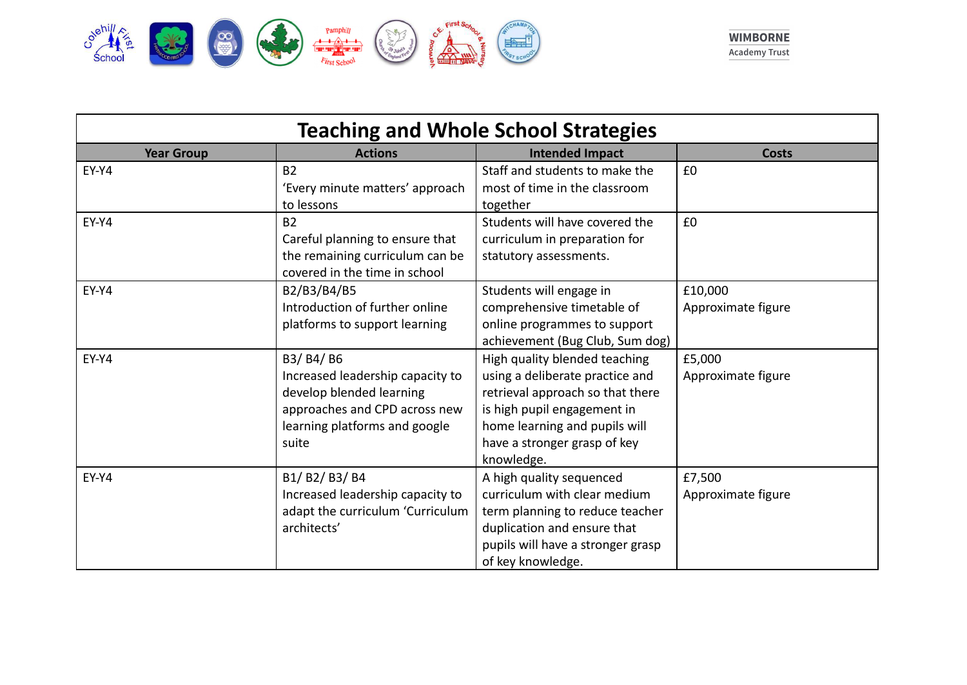

| <b>Teaching and Whole School Strategies</b> |                                                                                                                                                       |                                                                                                                                                                                                                    |                               |
|---------------------------------------------|-------------------------------------------------------------------------------------------------------------------------------------------------------|--------------------------------------------------------------------------------------------------------------------------------------------------------------------------------------------------------------------|-------------------------------|
| <b>Year Group</b>                           | <b>Actions</b>                                                                                                                                        | <b>Intended Impact</b>                                                                                                                                                                                             | Costs                         |
| EY-Y4                                       | <b>B2</b><br>'Every minute matters' approach<br>to lessons                                                                                            | Staff and students to make the<br>most of time in the classroom<br>together                                                                                                                                        | £0                            |
| EY-Y4                                       | <b>B2</b><br>Careful planning to ensure that<br>the remaining curriculum can be<br>covered in the time in school                                      | Students will have covered the<br>curriculum in preparation for<br>statutory assessments.                                                                                                                          | £0                            |
| EY-Y4                                       | B2/B3/B4/B5<br>Introduction of further online<br>platforms to support learning                                                                        | Students will engage in<br>comprehensive timetable of<br>online programmes to support<br>achievement (Bug Club, Sum dog)                                                                                           | £10,000<br>Approximate figure |
| EY-Y4                                       | B3/ B4/ B6<br>Increased leadership capacity to<br>develop blended learning<br>approaches and CPD across new<br>learning platforms and google<br>suite | High quality blended teaching<br>using a deliberate practice and<br>retrieval approach so that there<br>is high pupil engagement in<br>home learning and pupils will<br>have a stronger grasp of key<br>knowledge. | £5,000<br>Approximate figure  |
| EY-Y4                                       | B1/B2/B3/B4<br>Increased leadership capacity to<br>adapt the curriculum 'Curriculum<br>architects'                                                    | A high quality sequenced<br>curriculum with clear medium<br>term planning to reduce teacher<br>duplication and ensure that<br>pupils will have a stronger grasp<br>of key knowledge.                               | £7,500<br>Approximate figure  |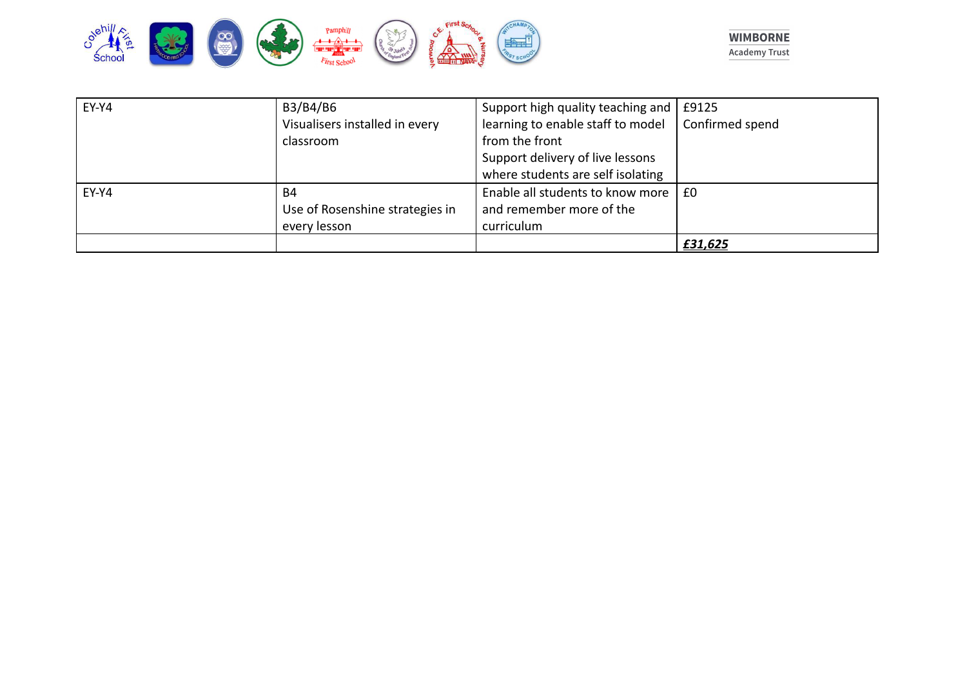



| EY-Y4 | B3/B4/B6                        | Support high quality teaching and           | £9125           |
|-------|---------------------------------|---------------------------------------------|-----------------|
|       | Visualisers installed in every  | learning to enable staff to model           | Confirmed spend |
|       | classroom                       | from the front                              |                 |
|       |                                 | Support delivery of live lessons            |                 |
|       |                                 | where students are self isolating           |                 |
| EY-Y4 | B4                              | Enable all students to know more $\vert$ £0 |                 |
|       | Use of Rosenshine strategies in | and remember more of the                    |                 |
|       | every lesson                    | curriculum                                  |                 |
|       |                                 |                                             | £31,625         |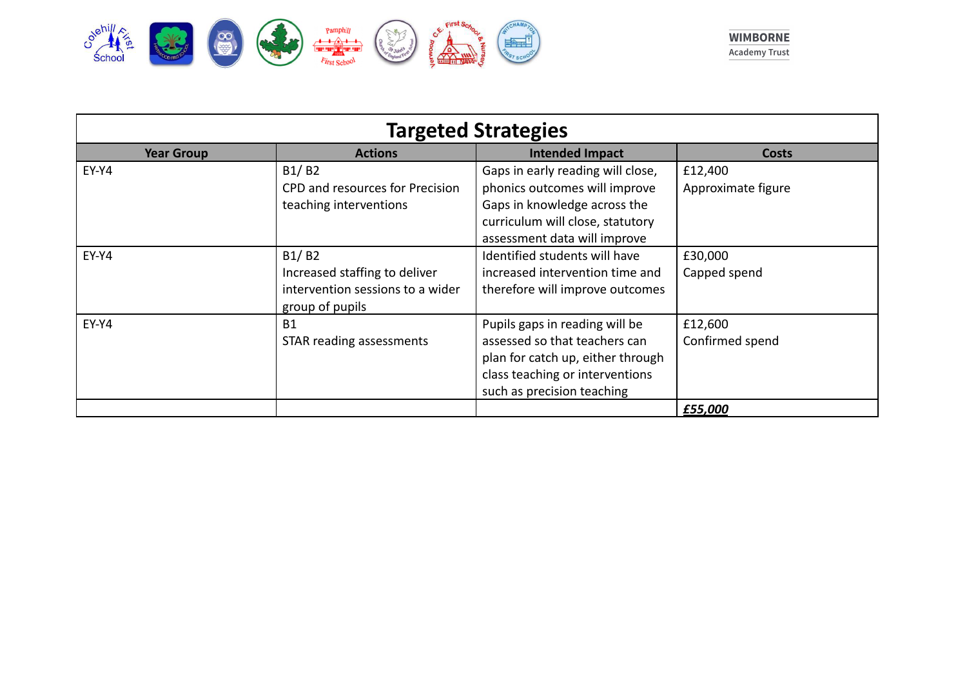

| <b>Targeted Strategies</b> |                                                                                               |                                                                                                                                                                        |                               |
|----------------------------|-----------------------------------------------------------------------------------------------|------------------------------------------------------------------------------------------------------------------------------------------------------------------------|-------------------------------|
| <b>Year Group</b>          | <b>Actions</b>                                                                                | <b>Intended Impact</b>                                                                                                                                                 | <b>Costs</b>                  |
| EY-Y4                      | B1/B2<br>CPD and resources for Precision<br>teaching interventions                            | Gaps in early reading will close,<br>phonics outcomes will improve<br>Gaps in knowledge across the<br>curriculum will close, statutory<br>assessment data will improve | £12,400<br>Approximate figure |
| EY-Y4                      | B1/B2<br>Increased staffing to deliver<br>intervention sessions to a wider<br>group of pupils | Identified students will have<br>increased intervention time and<br>therefore will improve outcomes                                                                    | £30,000<br>Capped spend       |
| EY-Y4                      | <b>B1</b><br>STAR reading assessments                                                         | Pupils gaps in reading will be<br>assessed so that teachers can<br>plan for catch up, either through<br>class teaching or interventions<br>such as precision teaching  | £12,600<br>Confirmed spend    |
|                            |                                                                                               |                                                                                                                                                                        | £55,000                       |